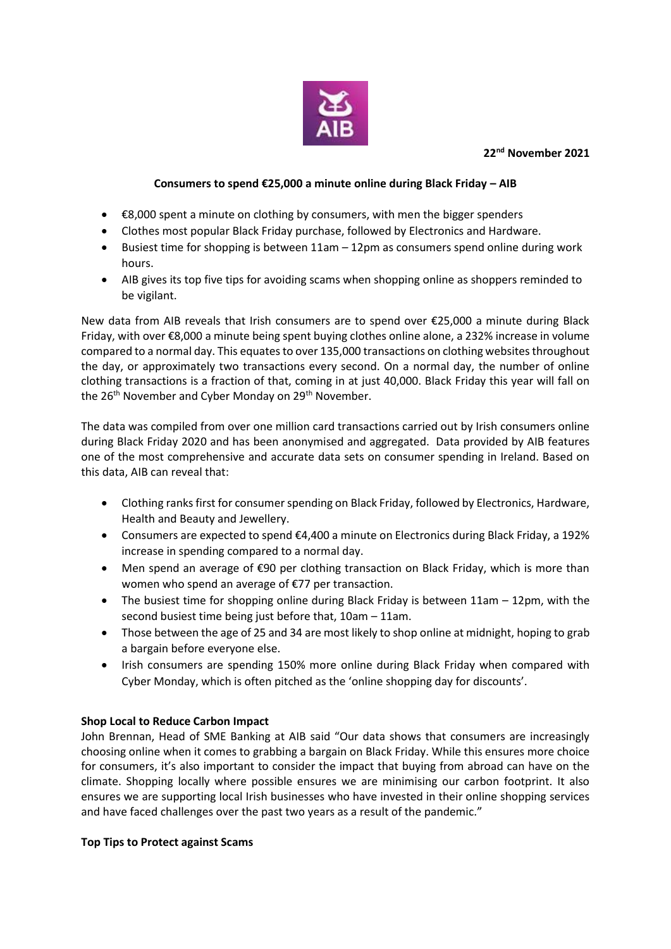### **22nd November 2021**



### **Consumers to spend €25,000 a minute online during Black Friday – AIB**

- €8,000 spent a minute on clothing by consumers, with men the bigger spenders
- Clothes most popular Black Friday purchase, followed by Electronics and Hardware.
- Busiest time for shopping is between 11am 12pm as consumers spend online during work hours.
- AIB gives its top five tips for avoiding scams when shopping online as shoppers reminded to be vigilant.

New data from AIB reveals that Irish consumers are to spend over €25,000 a minute during Black Friday, with over €8,000 a minute being spent buying clothes online alone, a 232% increase in volume compared to a normal day. This equates to over 135,000 transactions on clothing websites throughout the day, or approximately two transactions every second. On a normal day, the number of online clothing transactions is a fraction of that, coming in at just 40,000. Black Friday this year will fall on the 26<sup>th</sup> November and Cyber Monday on 29<sup>th</sup> November.

The data was compiled from over one million card transactions carried out by Irish consumers online during Black Friday 2020 and has been anonymised and aggregated. Data provided by AIB features one of the most comprehensive and accurate data sets on consumer spending in Ireland. Based on this data, AIB can reveal that:

- Clothing ranks first for consumer spending on Black Friday, followed by Electronics, Hardware, Health and Beauty and Jewellery.
- Consumers are expected to spend €4,400 a minute on Electronics during Black Friday, a 192% increase in spending compared to a normal day.
- Men spend an average of  $\epsilon$ 90 per clothing transaction on Black Friday, which is more than women who spend an average of €77 per transaction.
- The busiest time for shopping online during Black Friday is between 11am 12pm, with the second busiest time being just before that, 10am – 11am.
- Those between the age of 25 and 34 are most likely to shop online at midnight, hoping to grab a bargain before everyone else.
- Irish consumers are spending 150% more online during Black Friday when compared with Cyber Monday, which is often pitched as the 'online shopping day for discounts'.

# **Shop Local to Reduce Carbon Impact**

John Brennan, Head of SME Banking at AIB said "Our data shows that consumers are increasingly choosing online when it comes to grabbing a bargain on Black Friday. While this ensures more choice for consumers, it's also important to consider the impact that buying from abroad can have on the climate. Shopping locally where possible ensures we are minimising our carbon footprint. It also ensures we are supporting local Irish businesses who have invested in their online shopping services and have faced challenges over the past two years as a result of the pandemic."

### **Top Tips to Protect against Scams**